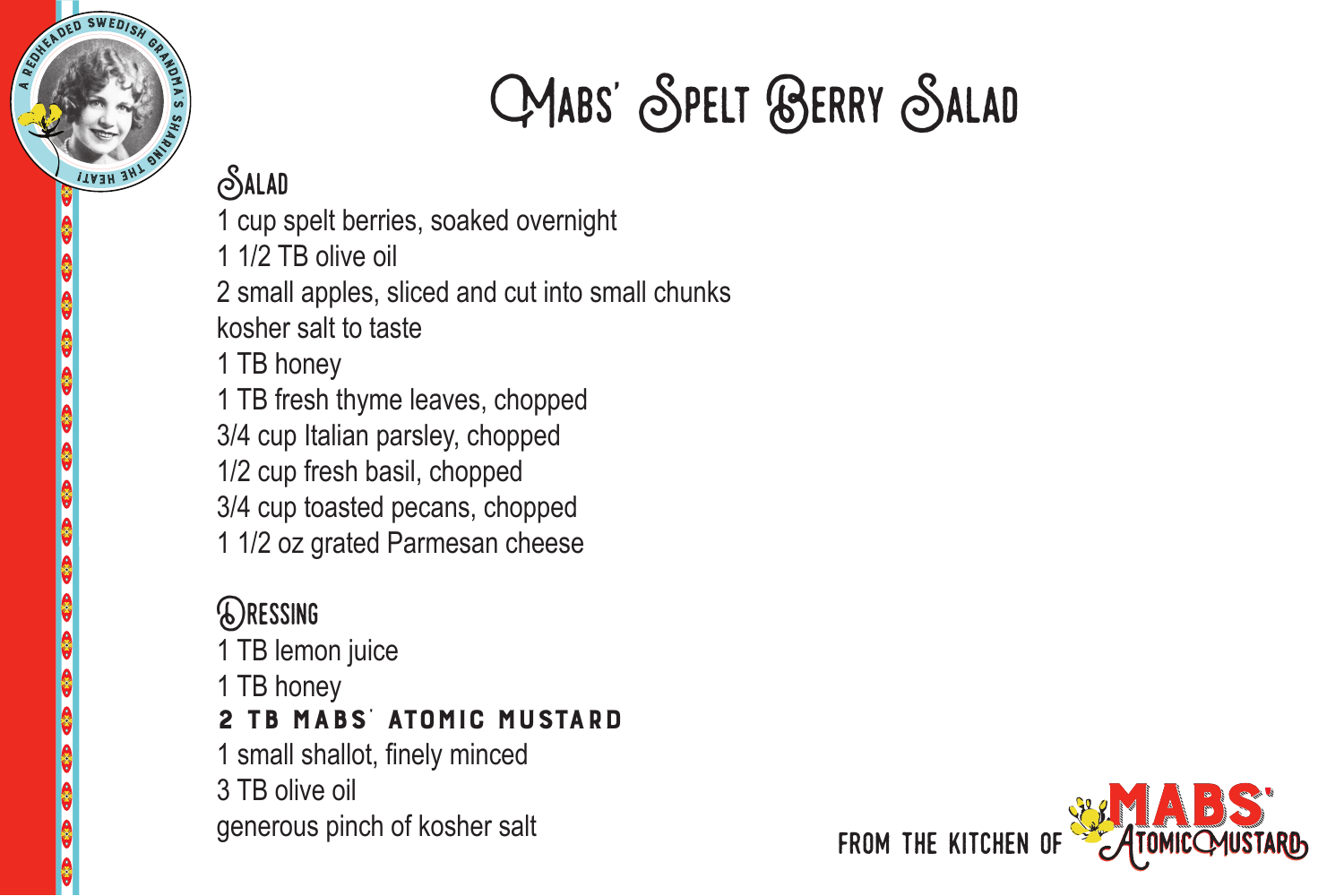

## Mabs' Spelt Berry Salad

## **SALAD**

- 1 cup spelt berries, soaked overnight
- 1 1/2 TB olive oil
- 2 small apples, sliced and cut into small chunks kosher salt to taste
- 1 TB honey
- 1 TB fresh thyme leaves, chopped
- 3/4 cup Italian parsley, chopped
- 1/2 cup fresh basil, chopped
- 3/4 cup toasted pecans, chopped
- 1 1/2 oz grated Parmesan cheese

## Dressing

- 1 TB lemon juice
- 1 TB honey

## 2 TB Mabs' Atomic Mustard

- 1 small shallot, finely minced
- 3 TB olive oil
- generous pinch of kosher salt